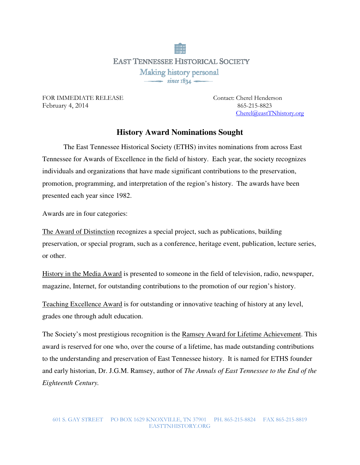**EAST TENNESSEE HISTORICAL SOCIETY** Making history personal  $\frac{1}{\sqrt{1-\frac{1}{2}}}\sin$  ce 1834

FOR IMMEDIATE RELEASE Contact: Cherel Henderson February 4, 2014865-215-8823

Cherel@eastTNhistory.org

## **History Award Nominations Sought**

 The East Tennessee Historical Society (ETHS) invites nominations from across East Tennessee for Awards of Excellence in the field of history. Each year, the society recognizes individuals and organizations that have made significant contributions to the preservation, promotion, programming, and interpretation of the region's history. The awards have been presented each year since 1982.

Awards are in four categories:

The Award of Distinction recognizes a special project, such as publications, building preservation, or special program, such as a conference, heritage event, publication, lecture series, or other.

History in the Media Award is presented to someone in the field of television, radio, newspaper, magazine, Internet, for outstanding contributions to the promotion of our region's history.

Teaching Excellence Award is for outstanding or innovative teaching of history at any level, grades one through adult education.

The Society's most prestigious recognition is the Ramsey Award for Lifetime Achievement. This award is reserved for one who, over the course of a lifetime, has made outstanding contributions to the understanding and preservation of East Tennessee history. It is named for ETHS founder and early historian, Dr. J.G.M. Ramsey, author of *The Annals of East Tennessee to the End of the Eighteenth Century.*